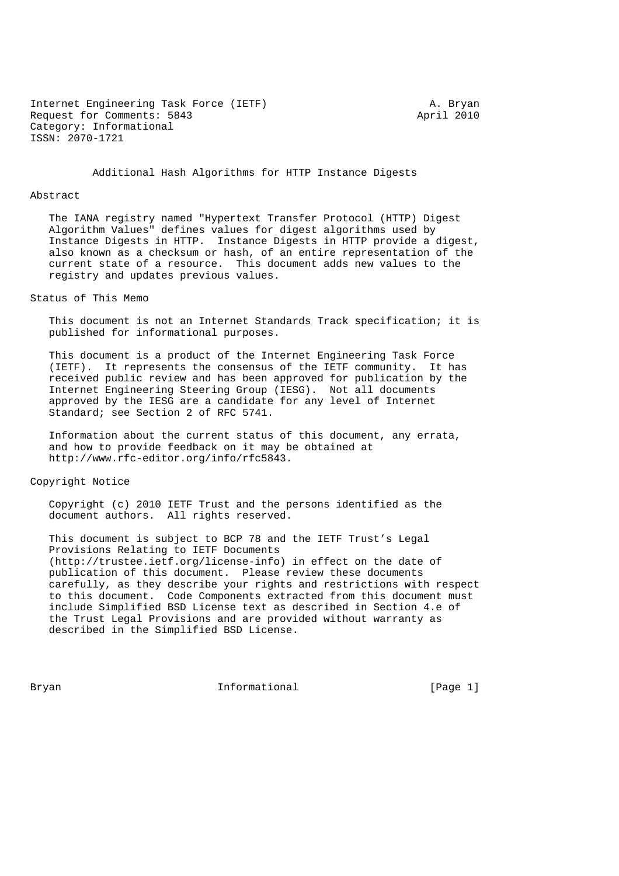Internet Engineering Task Force (IETF) A. Bryan Request for Comments: 5843 April 2010 Category: Informational ISSN: 2070-1721

Additional Hash Algorithms for HTTP Instance Digests

#### Abstract

 The IANA registry named "Hypertext Transfer Protocol (HTTP) Digest Algorithm Values" defines values for digest algorithms used by Instance Digests in HTTP. Instance Digests in HTTP provide a digest, also known as a checksum or hash, of an entire representation of the current state of a resource. This document adds new values to the registry and updates previous values.

Status of This Memo

 This document is not an Internet Standards Track specification; it is published for informational purposes.

 This document is a product of the Internet Engineering Task Force (IETF). It represents the consensus of the IETF community. It has received public review and has been approved for publication by the Internet Engineering Steering Group (IESG). Not all documents approved by the IESG are a candidate for any level of Internet Standard; see Section 2 of RFC 5741.

 Information about the current status of this document, any errata, and how to provide feedback on it may be obtained at http://www.rfc-editor.org/info/rfc5843.

### Copyright Notice

 Copyright (c) 2010 IETF Trust and the persons identified as the document authors. All rights reserved.

 This document is subject to BCP 78 and the IETF Trust's Legal Provisions Relating to IETF Documents (http://trustee.ietf.org/license-info) in effect on the date of publication of this document. Please review these documents carefully, as they describe your rights and restrictions with respect to this document. Code Components extracted from this document must include Simplified BSD License text as described in Section 4.e of the Trust Legal Provisions and are provided without warranty as described in the Simplified BSD License.

Bryan **Informational** Informational (Page 1)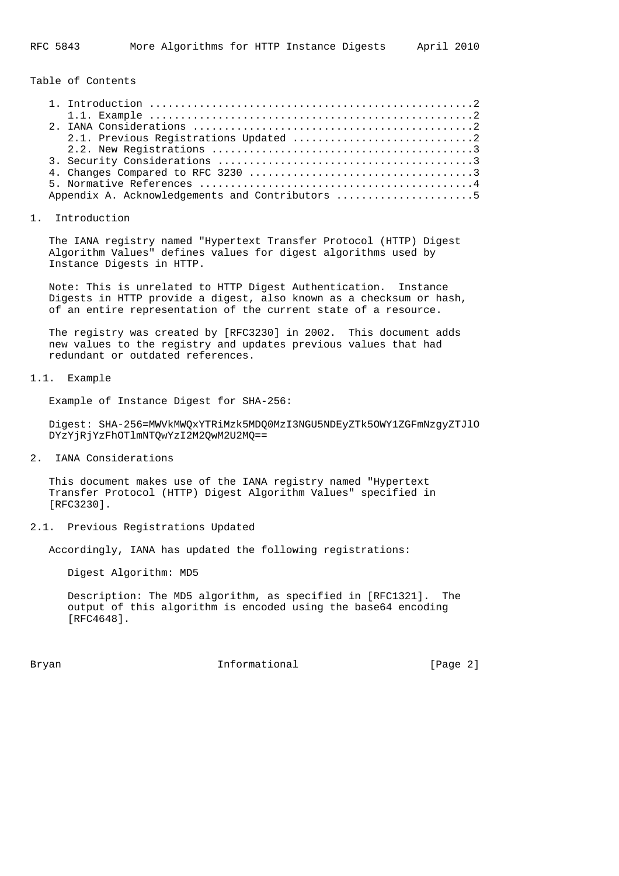Table of Contents

| Appendix A. Acknowledgements and Contributors 5 |
|-------------------------------------------------|

#### 1. Introduction

 The IANA registry named "Hypertext Transfer Protocol (HTTP) Digest Algorithm Values" defines values for digest algorithms used by Instance Digests in HTTP.

 Note: This is unrelated to HTTP Digest Authentication. Instance Digests in HTTP provide a digest, also known as a checksum or hash, of an entire representation of the current state of a resource.

 The registry was created by [RFC3230] in 2002. This document adds new values to the registry and updates previous values that had redundant or outdated references.

# 1.1. Example

Example of Instance Digest for SHA-256:

 Digest: SHA-256=MWVkMWQxYTRiMzk5MDQ0MzI3NGU5NDEyZTk5OWY1ZGFmNzgyZTJlO DYzYjRjYzFhOTlmNTQwYzI2M2QwM2U2MQ==

2. IANA Considerations

 This document makes use of the IANA registry named "Hypertext Transfer Protocol (HTTP) Digest Algorithm Values" specified in [RFC3230].

### 2.1. Previous Registrations Updated

Accordingly, IANA has updated the following registrations:

Digest Algorithm: MD5

 Description: The MD5 algorithm, as specified in [RFC1321]. The output of this algorithm is encoded using the base64 encoding [RFC4648].

Bryan **Informational Informational** [Page 2]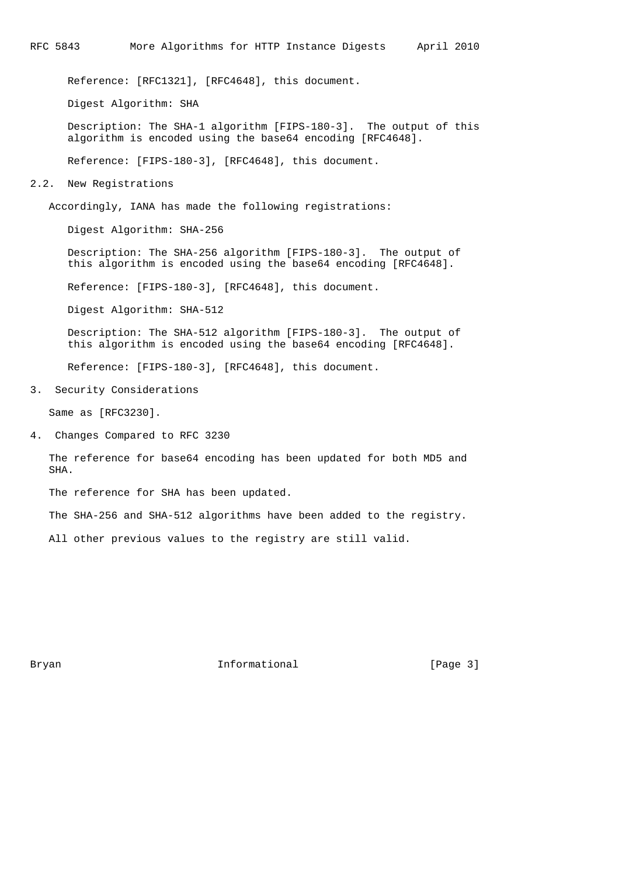Reference: [RFC1321], [RFC4648], this document.

Digest Algorithm: SHA

 Description: The SHA-1 algorithm [FIPS-180-3]. The output of this algorithm is encoded using the base64 encoding [RFC4648].

Reference: [FIPS-180-3], [RFC4648], this document.

### 2.2. New Registrations

Accordingly, IANA has made the following registrations:

Digest Algorithm: SHA-256

 Description: The SHA-256 algorithm [FIPS-180-3]. The output of this algorithm is encoded using the base64 encoding [RFC4648].

Reference: [FIPS-180-3], [RFC4648], this document.

Digest Algorithm: SHA-512

 Description: The SHA-512 algorithm [FIPS-180-3]. The output of this algorithm is encoded using the base64 encoding [RFC4648].

Reference: [FIPS-180-3], [RFC4648], this document.

3. Security Considerations

Same as [RFC3230].

4. Changes Compared to RFC 3230

 The reference for base64 encoding has been updated for both MD5 and SHA.

The reference for SHA has been updated.

The SHA-256 and SHA-512 algorithms have been added to the registry.

All other previous values to the registry are still valid.

Bryan **Informational Informational** [Page 3]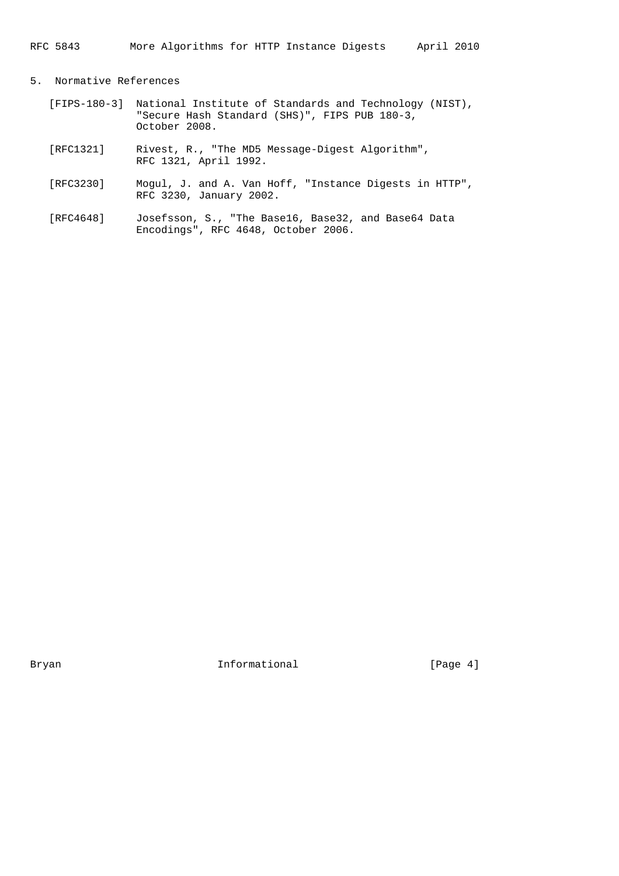# RFC 5843 More Algorithms for HTTP Instance Digests April 2010

# 5. Normative References

- [FIPS-180-3] National Institute of Standards and Technology (NIST), "Secure Hash Standard (SHS)", FIPS PUB 180-3, October 2008.
- [RFC1321] Rivest, R., "The MD5 Message-Digest Algorithm", RFC 1321, April 1992.
- [RFC3230] Mogul, J. and A. Van Hoff, "Instance Digests in HTTP", RFC 3230, January 2002.
- [RFC4648] Josefsson, S., "The Base16, Base32, and Base64 Data Encodings", RFC 4648, October 2006.

Bryan Informational [Page 4]